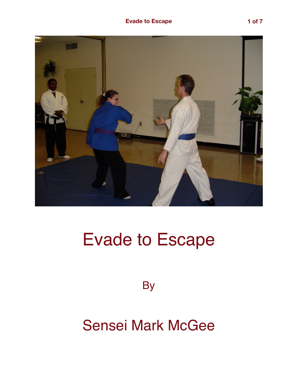

## Evade to Escape

**By** 

## Sensei Mark McGee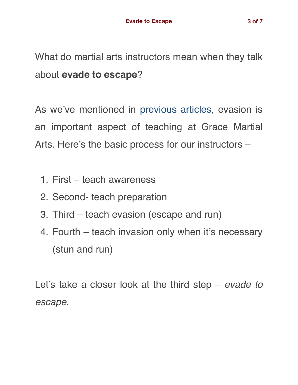What do martial arts instructors mean when they talk about **evade to escape**?

As we've mentioned in [previous articles,](https://gracemartialarts.com/2018/05/21/self-defense-advice-for-children-teens/) evasion is an important aspect of teaching at Grace Martial Arts. Here's the basic process for our instructors –

- 1. First teach awareness
- 2. Second- teach preparation
- 3. Third teach evasion (escape and run)
- 4. Fourth teach invasion only when it's necessary (stun and run)

Let's take a closer look at the third step – *evade to escape*.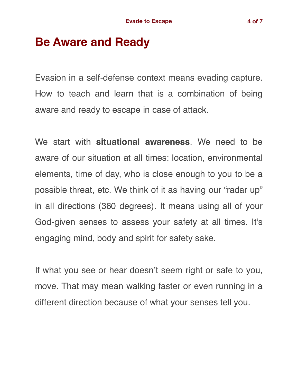Evasion in a self-defense context means evading capture. How to teach and learn that is a combination of being aware and ready to escape in case of attack.

We start with **situational awareness**. We need to be aware of our situation at all times: location, environmental elements, time of day, who is close enough to you to be a possible threat, etc. We think of it as having our "radar up" in all directions (360 degrees). It means using all of your God-given senses to assess your safety at all times. It's engaging mind, body and spirit for safety sake.

If what you see or hear doesn't seem right or safe to you, move. That may mean walking faster or even running in a different direction because of what your senses tell you.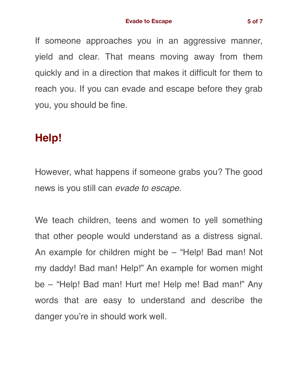If someone approaches you in an aggressive manner, yield and clear. That means moving away from them quickly and in a direction that makes it difficult for them to reach you. If you can evade and escape before they grab you, you should be fine.

## **Help!**

However, what happens if someone grabs you? The good news is you still can *evade to escape*.

We teach children, teens and women to yell something that other people would understand as a distress signal. An example for children might be – "Help! Bad man! Not my daddy! Bad man! Help!" An example for women might be – "Help! Bad man! Hurt me! Help me! Bad man!" Any words that are easy to understand and describe the danger you're in should work well.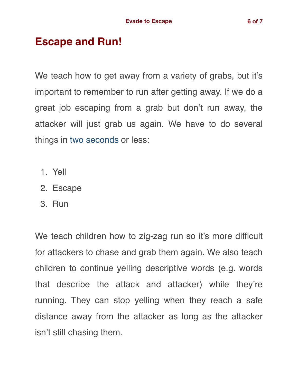## **Escape and Run!**

We teach how to get away from a variety of grabs, but it's important to remember to run after getting away. If we do a great job escaping from a grab but don't run away, the attacker will just grab us again. We have to do several things in [two seconds](https://gracemartialarts.com/safe-in-seconds/) or less:

- 1. Yell
- 2. Escape
- 3. Run

We teach children how to zig-zag run so it's more difficult for attackers to chase and grab them again. We also teach children to continue yelling descriptive words (e.g. words that describe the attack and attacker) while they're running. They can stop yelling when they reach a safe distance away from the attacker as long as the attacker isn't still chasing them.